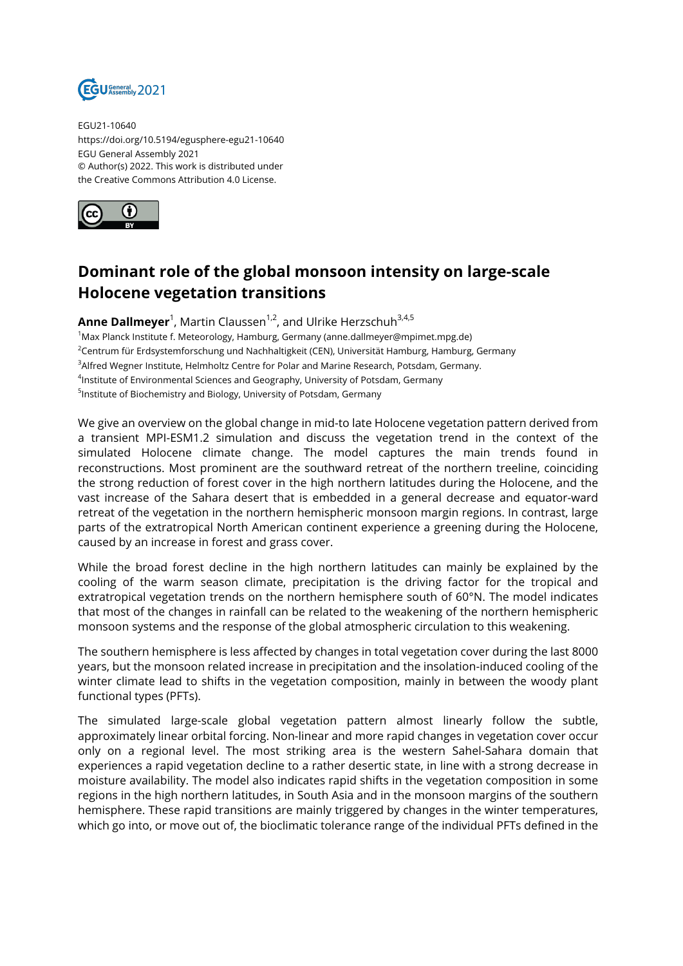

EGU21-10640 https://doi.org/10.5194/egusphere-egu21-10640 EGU General Assembly 2021 © Author(s) 2022. This work is distributed under the Creative Commons Attribution 4.0 License.



## **Dominant role of the global monsoon intensity on large-scale Holocene vegetation transitions**

**Anne Dallmeyer**<sup>1</sup>, Martin Claussen<sup>1,2</sup>, and Ulrike Herzschuh<sup>3,4,5</sup> <sup>1</sup>Max Planck Institute f. Meteorology, Hamburg, Germany (anne.dallmeyer@mpimet.mpg.de) <sup>2</sup>Centrum für Erdsystemforschung und Nachhaltigkeit (CEN), Universität Hamburg, Hamburg, Germany <sup>3</sup> Alfred Wegner Institute, Helmholtz Centre for Polar and Marine Research, Potsdam, Germany. 4 Institute of Environmental Sciences and Geography, University of Potsdam, Germany <sup>5</sup>Institute of Biochemistry and Biology, University of Potsdam, Germany

We give an overview on the global change in mid-to late Holocene vegetation pattern derived from a transient MPI-ESM1.2 simulation and discuss the vegetation trend in the context of the simulated Holocene climate change. The model captures the main trends found in reconstructions. Most prominent are the southward retreat of the northern treeline, coinciding the strong reduction of forest cover in the high northern latitudes during the Holocene, and the vast increase of the Sahara desert that is embedded in a general decrease and equator-ward retreat of the vegetation in the northern hemispheric monsoon margin regions. In contrast, large parts of the extratropical North American continent experience a greening during the Holocene, caused by an increase in forest and grass cover.

While the broad forest decline in the high northern latitudes can mainly be explained by the cooling of the warm season climate, precipitation is the driving factor for the tropical and extratropical vegetation trends on the northern hemisphere south of 60°N. The model indicates that most of the changes in rainfall can be related to the weakening of the northern hemispheric monsoon systems and the response of the global atmospheric circulation to this weakening.

The southern hemisphere is less affected by changes in total vegetation cover during the last 8000 years, but the monsoon related increase in precipitation and the insolation-induced cooling of the winter climate lead to shifts in the vegetation composition, mainly in between the woody plant functional types (PFTs).

The simulated large-scale global vegetation pattern almost linearly follow the subtle, approximately linear orbital forcing. Non-linear and more rapid changes in vegetation cover occur only on a regional level. The most striking area is the western Sahel-Sahara domain that experiences a rapid vegetation decline to a rather desertic state, in line with a strong decrease in moisture availability. The model also indicates rapid shifts in the vegetation composition in some regions in the high northern latitudes, in South Asia and in the monsoon margins of the southern hemisphere. These rapid transitions are mainly triggered by changes in the winter temperatures, which go into, or move out of, the bioclimatic tolerance range of the individual PFTs defined in the